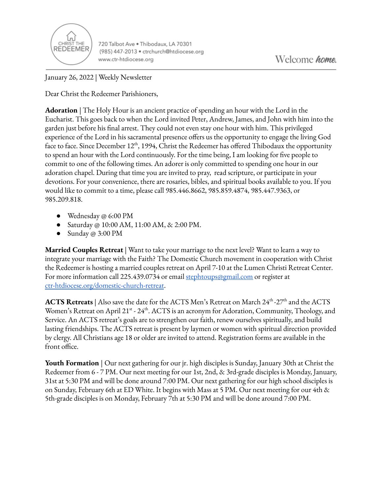

720 Talbot Ave . Thibodaux, LA 70301 (985) 447-2013 · ctrchurch@htdiocese.org www.ctr-htdiocese.org

January 26, 2022 | Weekly Newsletter

Dear Christ the Redeemer Parishioners,

**Adoration** | The Holy Hour is an ancient practice of spending an hour with the Lord in the Eucharist. This goes back to when the Lord invited Peter, Andrew, James, and John with him into the garden just before his final arrest. They could not even stay one hour with him. This privileged experience of the Lord in his sacramental presence offers us the opportunity to engage the living God face to face. Since December 12<sup>th</sup>, 1994, Christ the Redeemer has offered Thibodaux the opportunity to spend an hour with the Lord continuously. For the time being, I am looking for five people to commit to one of the following times. An adorer is only committed to spending one hour in our adoration chapel. During that time you are invited to pray, read scripture, or participate in your devotions. For your convenience, there are rosaries, bibles, and spiritual books available to you. If you would like to commit to a time, please call 985.446.8662, 985.859.4874, 985.447.9363, or 985.209.818.

- Wednesday @ 6:00 PM
- Saturday @ 10:00 AM, 11:00 AM, & 2:00 PM.
- Sunday @ 3:00 PM

**Married Couples Retreat** | Want to take your marriage to the next level? Want to learn a way to integrate your marriage with the Faith? The Domestic Church movement in cooperation with Christ the Redeemer is hosting a married couples retreat on April 7-10 at the Lumen Christi Retreat Center. For more information call 225.439.0734 or email [stephtoups@gmail.com](mailto:stephtoups@gmail.com) or register at [ctr-htdiocese.org/domestic-church-retreat](https://www.ctr-htdiocese.org/domestic-church-retreat).

**ACTS Retreats** | Also save the date for the ACTS Men's Retreat on March 24<sup>th</sup> -27<sup>th</sup> and the ACTS Women's Retreat on April 21<sup>st</sup> - 24<sup>th</sup>. ACTS is an acronym for Adoration, Community, Theology, and Service. An ACTS retreat's goals are to strengthen our faith, renew ourselves spiritually, and build lasting friendships. The ACTS retreat is present by laymen or women with spiritual direction provided by clergy. All Christians age 18 or older are invited to attend. Registration forms are available in the front office.

**Youth Formation** | Our next gathering for our jr. high disciples is Sunday, January 30th at Christ the Redeemer from 6 - 7 PM. Our next meeting for our 1st, 2nd, & 3rd-grade disciples is Monday, January, 31st at 5:30 PM and will be done around 7:00 PM. Our next gathering for our high school disciples is on Sunday, February 6th at ED White. It begins with Mass at 5 PM. Our next meeting for our 4th & 5th-grade disciples is on Monday, February 7th at 5:30 PM and will be done around 7:00 PM.